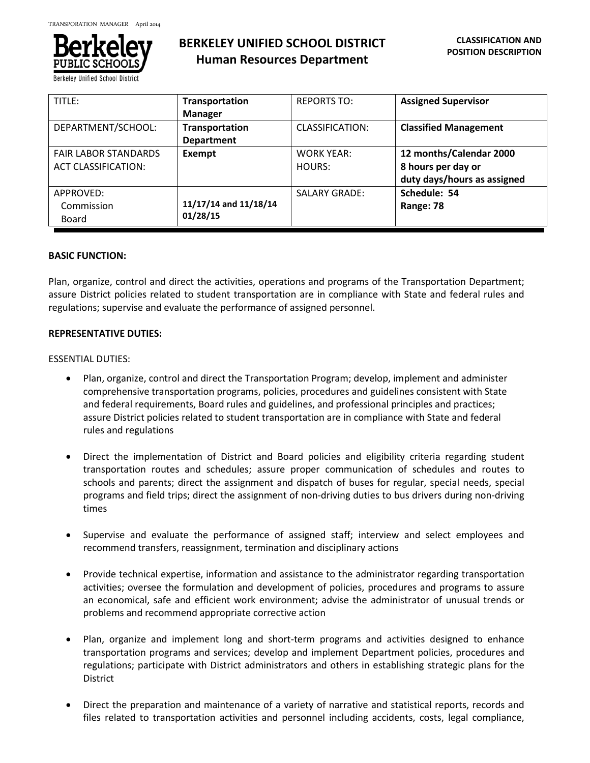

**Berkeley Unified School Distri** 

# **BERKELEY UNIFIED SCHOOL DISTRICT Human Resources Department**

| TITLE:                      | Transportation        | <b>REPORTS TO:</b>   | <b>Assigned Supervisor</b>   |
|-----------------------------|-----------------------|----------------------|------------------------------|
|                             | <b>Manager</b>        |                      |                              |
| DEPARTMENT/SCHOOL:          | <b>Transportation</b> | CLASSIFICATION:      | <b>Classified Management</b> |
|                             | <b>Department</b>     |                      |                              |
| <b>FAIR LABOR STANDARDS</b> | Exempt                | <b>WORK YEAR:</b>    | 12 months/Calendar 2000      |
| <b>ACT CLASSIFICATION:</b>  |                       | HOURS:               | 8 hours per day or           |
|                             |                       |                      | duty days/hours as assigned  |
| APPROVED:                   |                       | <b>SALARY GRADE:</b> | Schedule: 54                 |
| Commission                  | 11/17/14 and 11/18/14 |                      | Range: 78                    |
| Board                       | 01/28/15              |                      |                              |

## **BASIC FUNCTION:**

Plan, organize, control and direct the activities, operations and programs of the Transportation Department; assure District policies related to student transportation are in compliance with State and federal rules and regulations; supervise and evaluate the performance of assigned personnel.

## **REPRESENTATIVE DUTIES:**

#### ESSENTIAL DUTIES:

- Plan, organize, control and direct the Transportation Program; develop, implement and administer comprehensive transportation programs, policies, procedures and guidelines consistent with State and federal requirements, Board rules and guidelines, and professional principles and practices; assure District policies related to student transportation are in compliance with State and federal rules and regulations
- Direct the implementation of District and Board policies and eligibility criteria regarding student transportation routes and schedules; assure proper communication of schedules and routes to schools and parents; direct the assignment and dispatch of buses for regular, special needs, special programs and field trips; direct the assignment of non-driving duties to bus drivers during non-driving times
- Supervise and evaluate the performance of assigned staff; interview and select employees and recommend transfers, reassignment, termination and disciplinary actions
- Provide technical expertise, information and assistance to the administrator regarding transportation activities; oversee the formulation and development of policies, procedures and programs to assure an economical, safe and efficient work environment; advise the administrator of unusual trends or problems and recommend appropriate corrective action
- Plan, organize and implement long and short-term programs and activities designed to enhance transportation programs and services; develop and implement Department policies, procedures and regulations; participate with District administrators and others in establishing strategic plans for the District
- Direct the preparation and maintenance of a variety of narrative and statistical reports, records and files related to transportation activities and personnel including accidents, costs, legal compliance,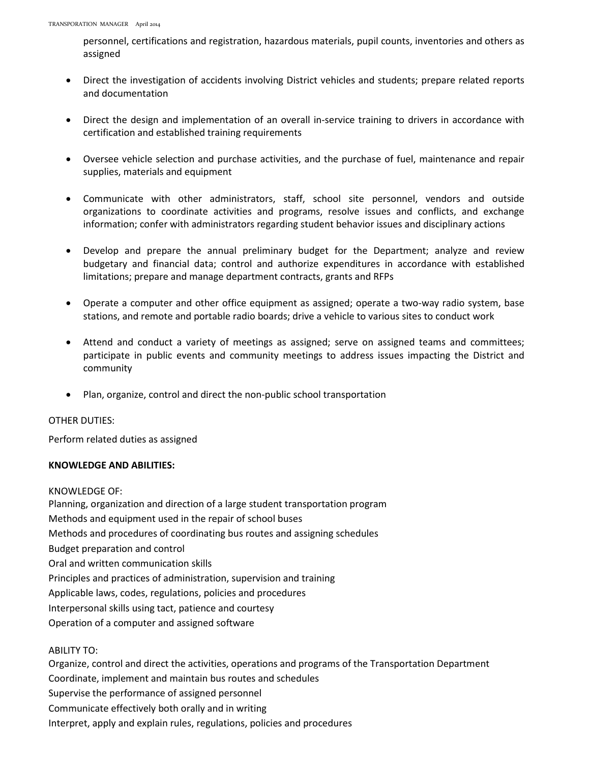personnel, certifications and registration, hazardous materials, pupil counts, inventories and others as assigned

- Direct the investigation of accidents involving District vehicles and students; prepare related reports and documentation
- Direct the design and implementation of an overall in-service training to drivers in accordance with certification and established training requirements
- Oversee vehicle selection and purchase activities, and the purchase of fuel, maintenance and repair supplies, materials and equipment
- Communicate with other administrators, staff, school site personnel, vendors and outside organizations to coordinate activities and programs, resolve issues and conflicts, and exchange information; confer with administrators regarding student behavior issues and disciplinary actions
- Develop and prepare the annual preliminary budget for the Department; analyze and review budgetary and financial data; control and authorize expenditures in accordance with established limitations; prepare and manage department contracts, grants and RFPs
- Operate a computer and other office equipment as assigned; operate a two-way radio system, base stations, and remote and portable radio boards; drive a vehicle to various sites to conduct work
- Attend and conduct a variety of meetings as assigned; serve on assigned teams and committees; participate in public events and community meetings to address issues impacting the District and community
- Plan, organize, control and direct the non-public school transportation

# OTHER DUTIES:

Perform related duties as assigned

# **KNOWLEDGE AND ABILITIES:**

# KNOWLEDGE OF:

Planning, organization and direction of a large student transportation program Methods and equipment used in the repair of school buses Methods and procedures of coordinating bus routes and assigning schedules Budget preparation and control Oral and written communication skills Principles and practices of administration, supervision and training Applicable laws, codes, regulations, policies and procedures Interpersonal skills using tact, patience and courtesy Operation of a computer and assigned software

ABILITY TO:

Organize, control and direct the activities, operations and programs of the Transportation Department Coordinate, implement and maintain bus routes and schedules Supervise the performance of assigned personnel Communicate effectively both orally and in writing Interpret, apply and explain rules, regulations, policies and procedures